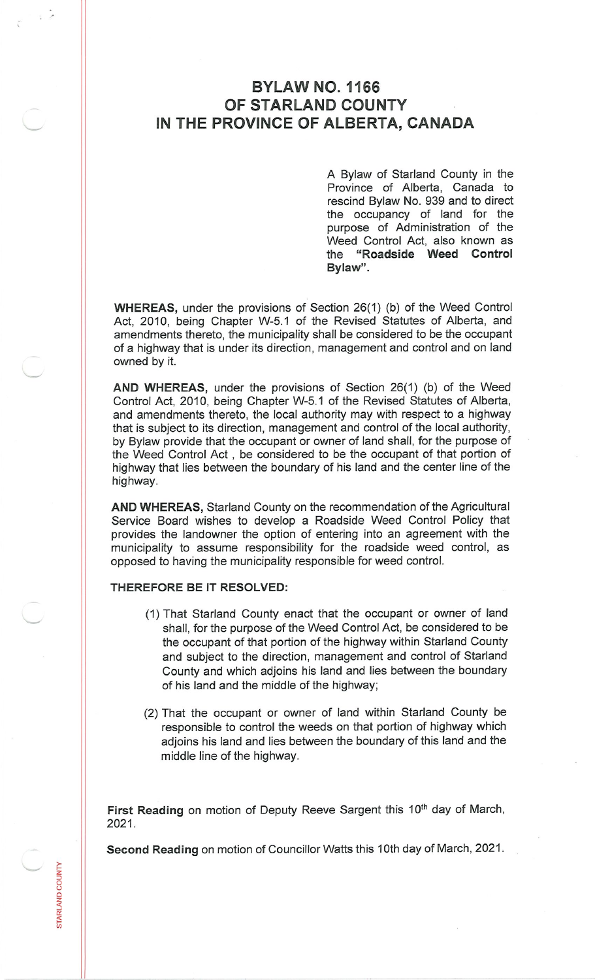## **BYLAW NO. 1166 OF STARLAND COUNTY IN THE PROVINCE OF ALBERTA, CANADA**

A Bylaw of Starland County in the Province of Alberta, Canada to rescind Bylaw No. 939 and to direct the occupancy of land for the purpose of Administration of the Weed Control Act, also known as the **"Roadside Weed Control Bylaw".**

**WHEREAS,** under the provisions of Section 26(1) (b) of the Weed Control Act, 2010, being Chapter W-5.1 of the Revised Statutes of Alberta, and amendments thereto, the municipality shall be considered to be the occupant of <sup>a</sup> highway that is under its direction, management and control and on land owned by it.

**AND WHEREAS,** under the provisions of Section 26(1) (b) of the Weed Control Act, 2010, being Chapter W-5.1 of the Revised Statutes of Alberta, and amendments thereto, the local authority may with respect to <sup>a</sup> highway that is subject to its direction, management and control of the local authority, by Bylaw provide that the occupant or owner of land shall, for the purpose of the Weed Control Act , be considered to be the occupant of that portion of highway that lies between the boundary of his land and the center line of the highway.

**AND WHEREAS,** Starland County on the recommendation of the Agricultural Service Board wishes to develop <sup>a</sup> Roadside Weed Control Policy that provides the landowner the option of entering into an agreement with the municipality to assume responsibility for the roadside weed control, as opposed to having the municipality responsible for weed control.

## **THEREFORE BE IT RESOLVED:**

LAND COU

- (1) That Starland County enact that the occupant or owner of land shall, for the purpose of the Weed Control Act, be considered to be the occupant of that portion of the highway within Starland County and subject to the direction, management and control of Starland County and which adjoins his land and lies between the boundary of his land and the middle of the highway;
- (2) That the occupant or owner of land within Starland County be responsible to control the weeds on that portion of highway which adjoins his land and lies between the boundary of this land and the middle line of the highway.

**First Reading** on motion of Deputy Reeve Sargent this **10th** day of March, 2021**.**

**Second Reading** on motion of Councillor Watts this 10th day of March, 2021.